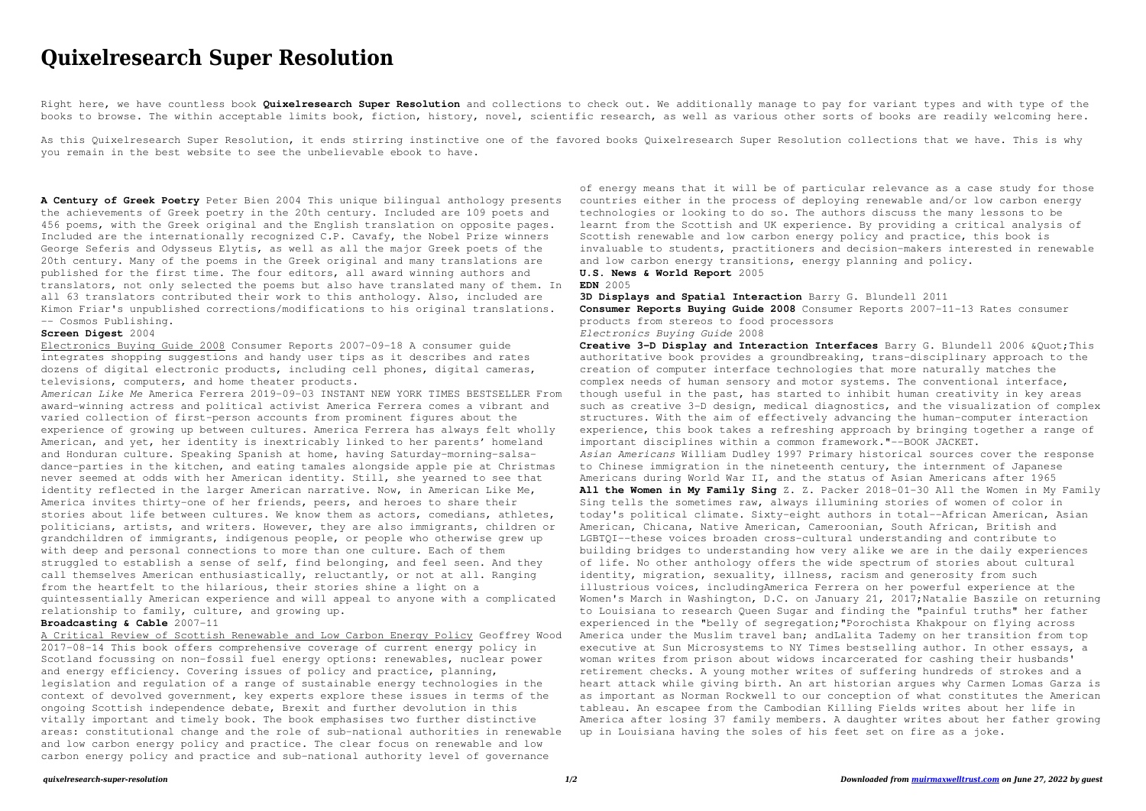## **Quixelresearch Super Resolution**

Right here, we have countless book **Quixelresearch Super Resolution** and collections to check out. We additionally manage to pay for variant types and with type of the books to browse. The within acceptable limits book, fiction, history, novel, scientific research, as well as various other sorts of books are readily welcoming here.

As this Quixelresearch Super Resolution, it ends stirring instinctive one of the favored books Quixelresearch Super Resolution collections that we have. This is why you remain in the best website to see the unbelievable ebook to have.

**A Century of Greek Poetry** Peter Bien 2004 This unique bilingual anthology presents the achievements of Greek poetry in the 20th century. Included are 109 poets and 456 poems, with the Greek original and the English translation on opposite pages. Included are the internationally recognized C.P. Cavafy, the Nobel Prize winners George Seferis and Odysseus Elytis, as well as all the major Greek poets of the 20th century. Many of the poems in the Greek original and many translations are published for the first time. The four editors, all award winning authors and translators, not only selected the poems but also have translated many of them. In all 63 translators contributed their work to this anthology. Also, included are Kimon Friar's unpublished corrections/modifications to his original translations. -- Cosmos Publishing.

## **Screen Digest** 2004

Electronics Buying Guide 2008 Consumer Reports 2007-09-18 A consumer guide integrates shopping suggestions and handy user tips as it describes and rates dozens of digital electronic products, including cell phones, digital cameras, televisions, computers, and home theater products.

*American Like Me* America Ferrera 2019-09-03 INSTANT NEW YORK TIMES BESTSELLER From award-winning actress and political activist America Ferrera comes a vibrant and varied collection of first-person accounts from prominent figures about the experience of growing up between cultures. America Ferrera has always felt wholly American, and yet, her identity is inextricably linked to her parents' homeland and Honduran culture. Speaking Spanish at home, having Saturday-morning-salsadance-parties in the kitchen, and eating tamales alongside apple pie at Christmas never seemed at odds with her American identity. Still, she yearned to see that identity reflected in the larger American narrative. Now, in American Like Me, America invites thirty-one of her friends, peers, and heroes to share their stories about life between cultures. We know them as actors, comedians, athletes, politicians, artists, and writers. However, they are also immigrants, children or grandchildren of immigrants, indigenous people, or people who otherwise grew up with deep and personal connections to more than one culture. Each of them struggled to establish a sense of self, find belonging, and feel seen. And they call themselves American enthusiastically, reluctantly, or not at all. Ranging from the heartfelt to the hilarious, their stories shine a light on a quintessentially American experience and will appeal to anyone with a complicated relationship to family, culture, and growing up.

## **Broadcasting & Cable** 2007-11

A Critical Review of Scottish Renewable and Low Carbon Energy Policy Geoffrey Wood 2017-08-14 This book offers comprehensive coverage of current energy policy in Scotland focussing on non-fossil fuel energy options: renewables, nuclear power and energy efficiency. Covering issues of policy and practice, planning, legislation and regulation of a range of sustainable energy technologies in the context of devolved government, key experts explore these issues in terms of the ongoing Scottish independence debate, Brexit and further devolution in this vitally important and timely book. The book emphasises two further distinctive areas: constitutional change and the role of sub-national authorities in renewable and low carbon energy policy and practice. The clear focus on renewable and low carbon energy policy and practice and sub-national authority level of governance

**Creative 3-D Display and Interaction Interfaces** Barry G. Blundell 2006 &Quot;This authoritative book provides a groundbreaking, trans-disciplinary approach to the creation of computer interface technologies that more naturally matches the complex needs of human sensory and motor systems. The conventional interface, though useful in the past, has started to inhibit human creativity in key areas such as creative 3-D design, medical diagnostics, and the visualization of complex structures. With the aim of effectively advancing the human-computer interaction experience, this book takes a refreshing approach by bringing together a range of important disciplines within a common framework."--BOOK JACKET. *Asian Americans* William Dudley 1997 Primary historical sources cover the response to Chinese immigration in the nineteenth century, the internment of Japanese Americans during World War II, and the status of Asian Americans after 1965 **All the Women in My Family Sing** Z. Z. Packer 2018-01-30 All the Women in My Family Sing tells the sometimes raw, always illumining stories of women of color in today's political climate. Sixty-eight authors in total--African American, Asian American, Chicana, Native American, Cameroonian, South African, British and LGBTQI--these voices broaden cross-cultural understanding and contribute to building bridges to understanding how very alike we are in the daily experiences of life. No other anthology offers the wide spectrum of stories about cultural identity, migration, sexuality, illness, racism and generosity from such illustrious voices, includingAmerica Ferrera on her powerful experience at the Women's March in Washington, D.C. on January 21, 2017; Natalie Baszile on returning to Louisiana to research Queen Sugar and finding the "painful truths" her father experienced in the "belly of segregation;"Porochista Khakpour on flying across America under the Muslim travel ban; andLalita Tademy on her transition from top executive at Sun Microsystems to NY Times bestselling author. In other essays, a woman writes from prison about widows incarcerated for cashing their husbands' retirement checks. A young mother writes of suffering hundreds of strokes and a heart attack while giving birth. An art historian argues why Carmen Lomas Garza is as important as Norman Rockwell to our conception of what constitutes the American tableau. An escapee from the Cambodian Killing Fields writes about her life in America after losing 37 family members. A daughter writes about her father growing up in Louisiana having the soles of his feet set on fire as a joke.

of energy means that it will be of particular relevance as a case study for those countries either in the process of deploying renewable and/or low carbon energy technologies or looking to do so. The authors discuss the many lessons to be learnt from the Scottish and UK experience. By providing a critical analysis of Scottish renewable and low carbon energy policy and practice, this book is invaluable to students, practitioners and decision-makers interested in renewable and low carbon energy transitions, energy planning and policy. **U.S. News & World Report** 2005

## **EDN** 2005

**3D Displays and Spatial Interaction** Barry G. Blundell 2011 **Consumer Reports Buying Guide 2008** Consumer Reports 2007-11-13 Rates consumer products from stereos to food processors *Electronics Buying Guide* 2008